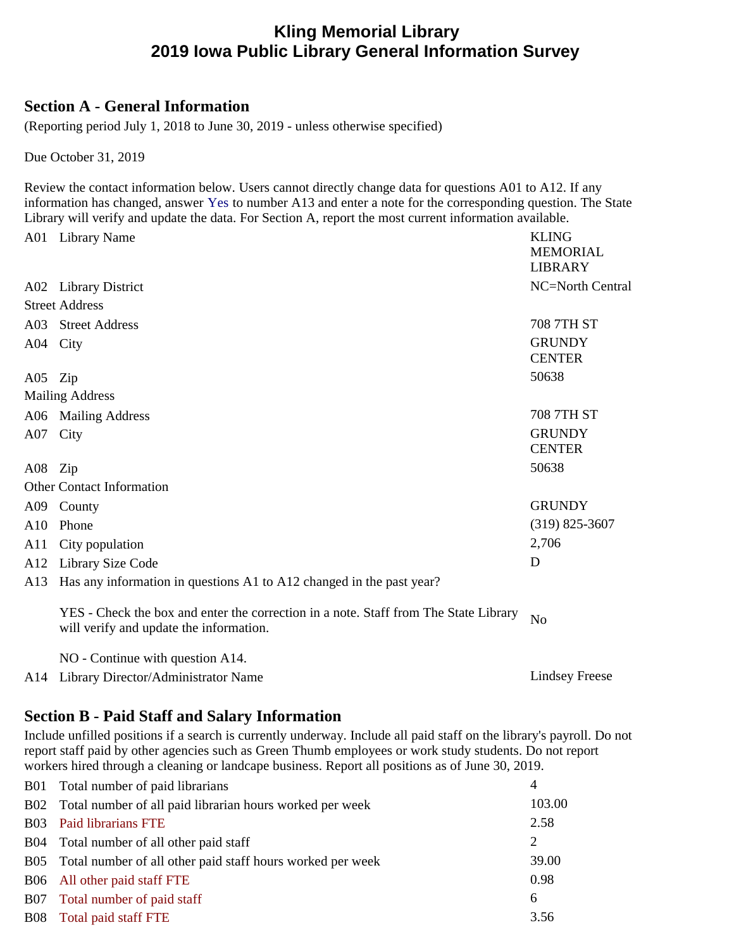# **Kling Memorial Library 2019 Iowa Public Library General Information Survey**

## **Section A - General Information**

(Reporting period July 1, 2018 to June 30, 2019 - unless otherwise specified)

Due October 31, 2019

Review the contact information below. Users cannot directly change data for questions A01 to A12. If any information has changed, answer Yes to number A13 and enter a note for the corresponding question. The State Library will verify and update the data. For Section A, report the most current information available.

| A01      | <b>Library Name</b>                                                                                                             | <b>KLING</b><br><b>MEMORIAL</b><br><b>LIBRARY</b> |
|----------|---------------------------------------------------------------------------------------------------------------------------------|---------------------------------------------------|
|          | A02 Library District                                                                                                            | NC=North Central                                  |
|          | <b>Street Address</b>                                                                                                           |                                                   |
|          | A03 Street Address                                                                                                              | 708 7TH ST                                        |
| A04 City |                                                                                                                                 | <b>GRUNDY</b><br><b>CENTER</b>                    |
| A05 Zip  |                                                                                                                                 | 50638                                             |
|          | <b>Mailing Address</b>                                                                                                          |                                                   |
|          | A06 Mailing Address                                                                                                             | <b>708 7TH ST</b>                                 |
| A07 City |                                                                                                                                 | <b>GRUNDY</b><br><b>CENTER</b>                    |
| A08 Zip  |                                                                                                                                 | 50638                                             |
|          | <b>Other Contact Information</b>                                                                                                |                                                   |
|          | A09 County                                                                                                                      | <b>GRUNDY</b>                                     |
| A10      | Phone                                                                                                                           | $(319)$ 825-3607                                  |
| A11      | City population                                                                                                                 | 2,706                                             |
| A12      | Library Size Code                                                                                                               | D                                                 |
| A13      | Has any information in questions A1 to A12 changed in the past year?                                                            |                                                   |
|          | YES - Check the box and enter the correction in a note. Staff from The State Library<br>will verify and update the information. | N <sub>o</sub>                                    |
|          | NO - Continue with question A14.                                                                                                |                                                   |
| A14      | Library Director/Administrator Name                                                                                             | <b>Lindsey Freese</b>                             |

# **Section B - Paid Staff and Salary Information**

Include unfilled positions if a search is currently underway. Include all paid staff on the library's payroll. Do not report staff paid by other agencies such as Green Thumb employees or work study students. Do not report workers hired through a cleaning or landcape business. Report all positions as of June 30, 2019.

|            | B01 Total number of paid librarians                            | 4      |  |
|------------|----------------------------------------------------------------|--------|--|
|            | B02 Total number of all paid librarian hours worked per week   | 103.00 |  |
|            | B03 Paid librarians FTE                                        | 2.58   |  |
| <b>B04</b> | Total number of all other paid staff                           | 2      |  |
|            | B05 Total number of all other paid staff hours worked per week | 39.00  |  |
|            | B06 All other paid staff FTE                                   | 0.98   |  |
| <b>B07</b> | Total number of paid staff                                     | 6      |  |
| <b>B08</b> | Total paid staff FTE                                           | 3.56   |  |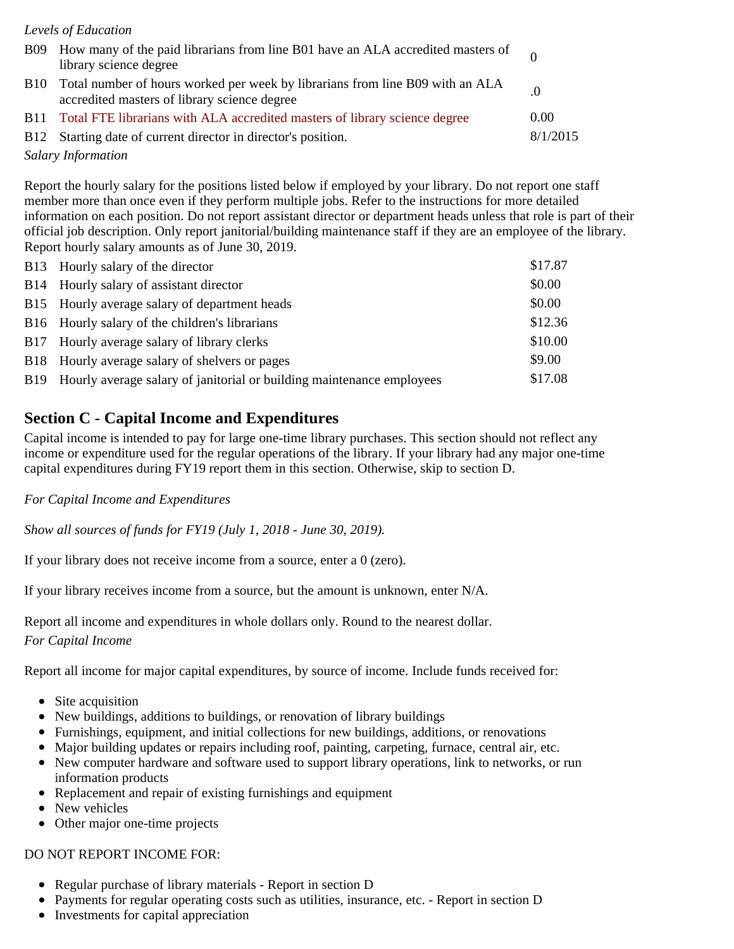#### *Levels of Education*

|            | B09 How many of the paid librarians from line B01 have an ALA accredited masters of<br>library science degree                 |          |
|------------|-------------------------------------------------------------------------------------------------------------------------------|----------|
| <b>B10</b> | Total number of hours worked per week by librarians from line B09 with an ALA<br>accredited masters of library science degree |          |
|            | B11 Total FTE librarians with ALA accredited masters of library science degree                                                | 0.00     |
|            | B12 Starting date of current director in director's position.                                                                 | 8/1/2015 |

*Salary Information*

Report the hourly salary for the positions listed below if employed by your library. Do not report one staff member more than once even if they perform multiple jobs. Refer to the instructions for more detailed information on each position. Do not report assistant director or department heads unless that role is part of their official job description. Only report janitorial/building maintenance staff if they are an employee of the library. Report hourly salary amounts as of June 30, 2019.

| B13 Hourly salary of the director                                         | \$17.87 |
|---------------------------------------------------------------------------|---------|
| B14 Hourly salary of assistant director                                   | \$0.00  |
| B15 Hourly average salary of department heads                             | \$0.00  |
| B16 Hourly salary of the children's librarians                            | \$12.36 |
| B17 Hourly average salary of library clerks                               | \$10.00 |
| B18 Hourly average salary of shelvers or pages                            | \$9.00  |
| B19 Hourly average salary of janitorial or building maintenance employees | \$17.08 |
|                                                                           |         |

### **Section C - Capital Income and Expenditures**

Capital income is intended to pay for large one-time library purchases. This section should not reflect any income or expenditure used for the regular operations of the library. If your library had any major one-time capital expenditures during FY19 report them in this section. Otherwise, skip to section D.

#### *For Capital Income and Expenditures*

*Show all sources of funds for FY19 (July 1, 2018 - June 30, 2019).*

If your library does not receive income from a source, enter a 0 (zero).

If your library receives income from a source, but the amount is unknown, enter N/A.

Report all income and expenditures in whole dollars only. Round to the nearest dollar. *For Capital Income*

Report all income for major capital expenditures, by source of income. Include funds received for:

- Site acquisition
- New buildings, additions to buildings, or renovation of library buildings
- Furnishings, equipment, and initial collections for new buildings, additions, or renovations
- Major building updates or repairs including roof, painting, carpeting, furnace, central air, etc.
- New computer hardware and software used to support library operations, link to networks, or run information products
- Replacement and repair of existing furnishings and equipment
- New vehicles
- Other major one-time projects

#### DO NOT REPORT INCOME FOR:

- Regular purchase of library materials Report in section D
- Payments for regular operating costs such as utilities, insurance, etc. Report in section D
- Investments for capital appreciation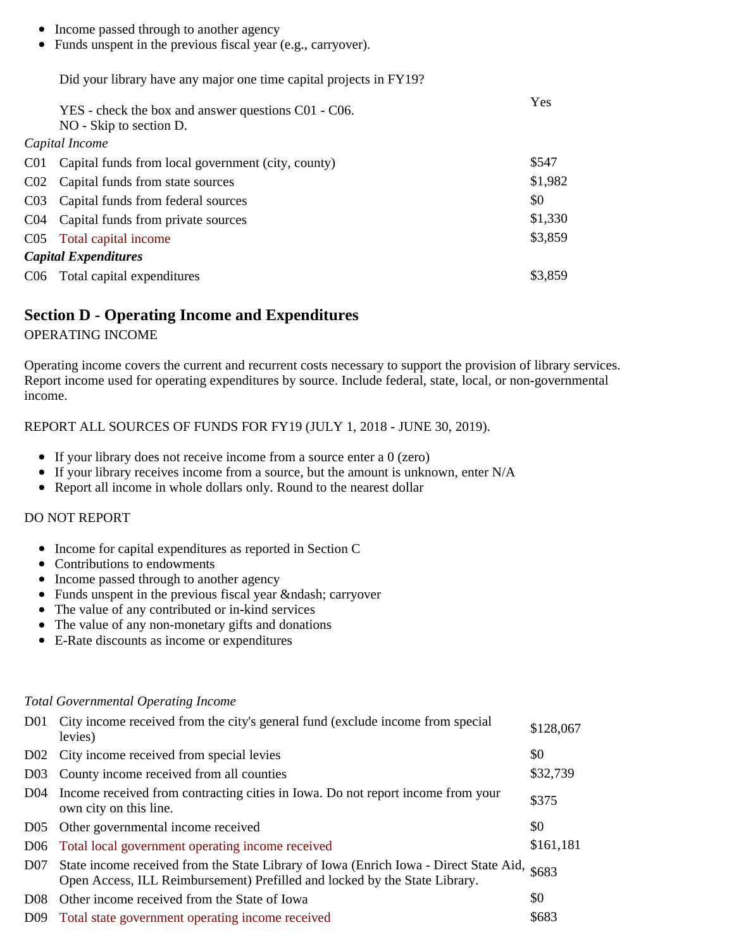- Income passed through to another agency
- Funds unspent in the previous fiscal year (e.g., carryover).

Did your library have any major one time capital projects in FY19?

| YES - check the box and answer questions C01 - C06.<br>NO - Skip to section D. | Yes     |  |
|--------------------------------------------------------------------------------|---------|--|
| Capital Income                                                                 |         |  |
| C01 Capital funds from local government (city, county)                         | \$547   |  |
| C02 Capital funds from state sources                                           | \$1,982 |  |
| C03 Capital funds from federal sources                                         | \$0     |  |
| C04 Capital funds from private sources                                         | \$1,330 |  |
| C05 Total capital income                                                       | \$3,859 |  |
| <b>Capital Expenditures</b>                                                    |         |  |
| C06 Total capital expenditures                                                 | \$3,859 |  |

### **Section D - Operating Income and Expenditures**

OPERATING INCOME

Operating income covers the current and recurrent costs necessary to support the provision of library services. Report income used for operating expenditures by source. Include federal, state, local, or non-governmental income.

REPORT ALL SOURCES OF FUNDS FOR FY19 (JULY 1, 2018 - JUNE 30, 2019).

- If your library does not receive income from a source enter a 0 (zero)
- If your library receives income from a source, but the amount is unknown, enter N/A
- Report all income in whole dollars only. Round to the nearest dollar

#### DO NOT REPORT

- Income for capital expenditures as reported in Section C
- Contributions to endowments
- Income passed through to another agency
- $\bullet$  Funds unspent in the previous fiscal year & ndash; carryover
- The value of any contributed or in-kind services
- The value of any non-monetary gifts and donations
- E-Rate discounts as income or expenditures

#### *Total Governmental Operating Income*

|                 | D01 City income received from the city's general fund (exclude income from special<br>levies)                                                                       | \$128,067 |
|-----------------|---------------------------------------------------------------------------------------------------------------------------------------------------------------------|-----------|
|                 | D02 City income received from special levies                                                                                                                        | \$0       |
| D <sub>03</sub> | County income received from all counties                                                                                                                            | \$32,739  |
| D <sub>04</sub> | Income received from contracting cities in Iowa. Do not report income from your<br>own city on this line.                                                           | \$375     |
| D <sub>05</sub> | Other governmental income received                                                                                                                                  | \$0       |
|                 | D06 Total local government operating income received                                                                                                                | \$161,181 |
| D <sub>07</sub> | State income received from the State Library of Iowa (Enrich Iowa - Direct State Aid,<br>Open Access, ILL Reimbursement) Prefilled and locked by the State Library. | \$683     |
| D <sub>08</sub> | Other income received from the State of Iowa                                                                                                                        | \$0       |
| D <sub>09</sub> | Total state government operating income received                                                                                                                    | \$683     |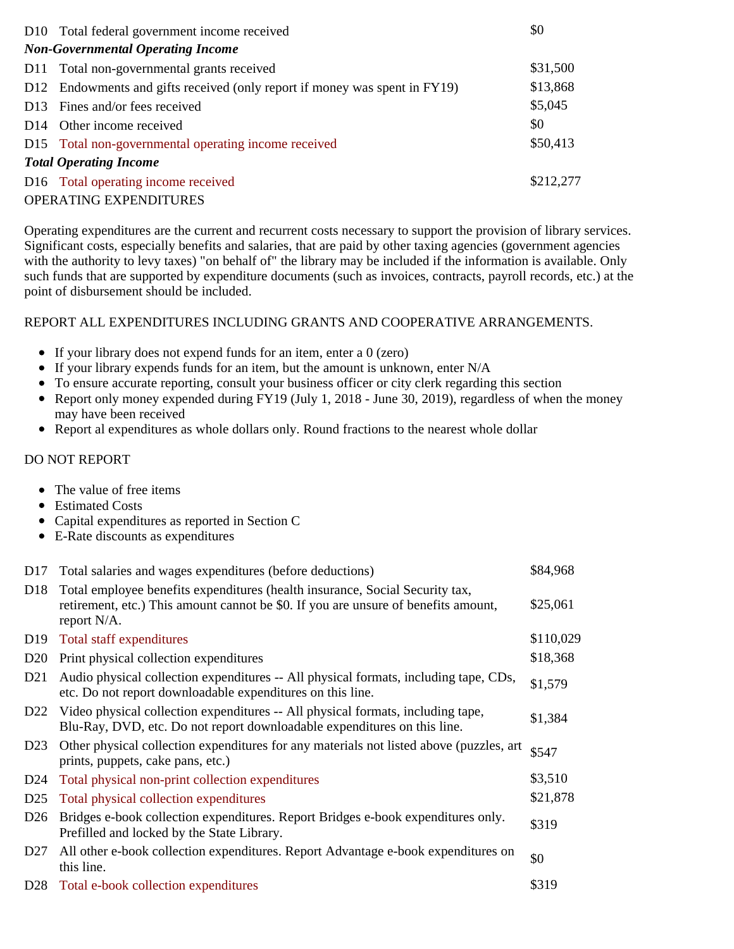|                               | D10 Total federal government income received                               | \$0       |  |
|-------------------------------|----------------------------------------------------------------------------|-----------|--|
|                               | <b>Non-Governmental Operating Income</b>                                   |           |  |
|                               | D11 Total non-governmental grants received                                 | \$31,500  |  |
|                               | D12 Endowments and gifts received (only report if money was spent in FY19) | \$13,868  |  |
|                               | D13 Fines and/or fees received                                             | \$5,045   |  |
|                               | D14 Other income received                                                  | \$0       |  |
|                               | D15 Total non-governmental operating income received                       | \$50,413  |  |
| <b>Total Operating Income</b> |                                                                            |           |  |
|                               | D16 Total operating income received                                        | \$212,277 |  |
|                               | <b>OPERATING EXPENDITURES</b>                                              |           |  |

Operating expenditures are the current and recurrent costs necessary to support the provision of library services. Significant costs, especially benefits and salaries, that are paid by other taxing agencies (government agencies with the authority to levy taxes) "on behalf of" the library may be included if the information is available. Only such funds that are supported by expenditure documents (such as invoices, contracts, payroll records, etc.) at the point of disbursement should be included.

#### REPORT ALL EXPENDITURES INCLUDING GRANTS AND COOPERATIVE ARRANGEMENTS.

- If your library does not expend funds for an item, enter a 0 (zero)
- If your library expends funds for an item, but the amount is unknown, enter  $N/A$
- To ensure accurate reporting, consult your business officer or city clerk regarding this section
- Report only money expended during FY19 (July 1, 2018 June 30, 2019), regardless of when the money may have been received
- Report al expenditures as whole dollars only. Round fractions to the nearest whole dollar

#### DO NOT REPORT

- The value of free items
- Estimated Costs
- Capital expenditures as reported in Section C
- E-Rate discounts as expenditures

| D <sub>17</sub> | Total salaries and wages expenditures (before deductions)                                                                                                                            | \$84,968  |
|-----------------|--------------------------------------------------------------------------------------------------------------------------------------------------------------------------------------|-----------|
| D <sub>18</sub> | Total employee benefits expenditures (health insurance, Social Security tax,<br>retirement, etc.) This amount cannot be \$0. If you are unsure of benefits amount,<br>report $N/A$ . | \$25,061  |
| D <sub>19</sub> | Total staff expenditures                                                                                                                                                             | \$110,029 |
| D20             | Print physical collection expenditures                                                                                                                                               | \$18,368  |
| D <sub>21</sub> | Audio physical collection expenditures -- All physical formats, including tape, CDs,<br>etc. Do not report downloadable expenditures on this line.                                   | \$1,579   |
| D <sub>22</sub> | Video physical collection expenditures -- All physical formats, including tape,<br>Blu-Ray, DVD, etc. Do not report downloadable expenditures on this line.                          | \$1,384   |
| D23             | Other physical collection expenditures for any materials not listed above (puzzles, art<br>prints, puppets, cake pans, etc.)                                                         | \$547     |
| D <sub>24</sub> | Total physical non-print collection expenditures                                                                                                                                     | \$3,510   |
| D <sub>25</sub> | Total physical collection expenditures                                                                                                                                               | \$21,878  |
| D26             | Bridges e-book collection expenditures. Report Bridges e-book expenditures only.<br>Prefilled and locked by the State Library.                                                       | \$319     |
| D <sub>27</sub> | All other e-book collection expenditures. Report Advantage e-book expenditures on<br>this line.                                                                                      | \$0       |
| D <sub>28</sub> | Total e-book collection expenditures                                                                                                                                                 | \$319     |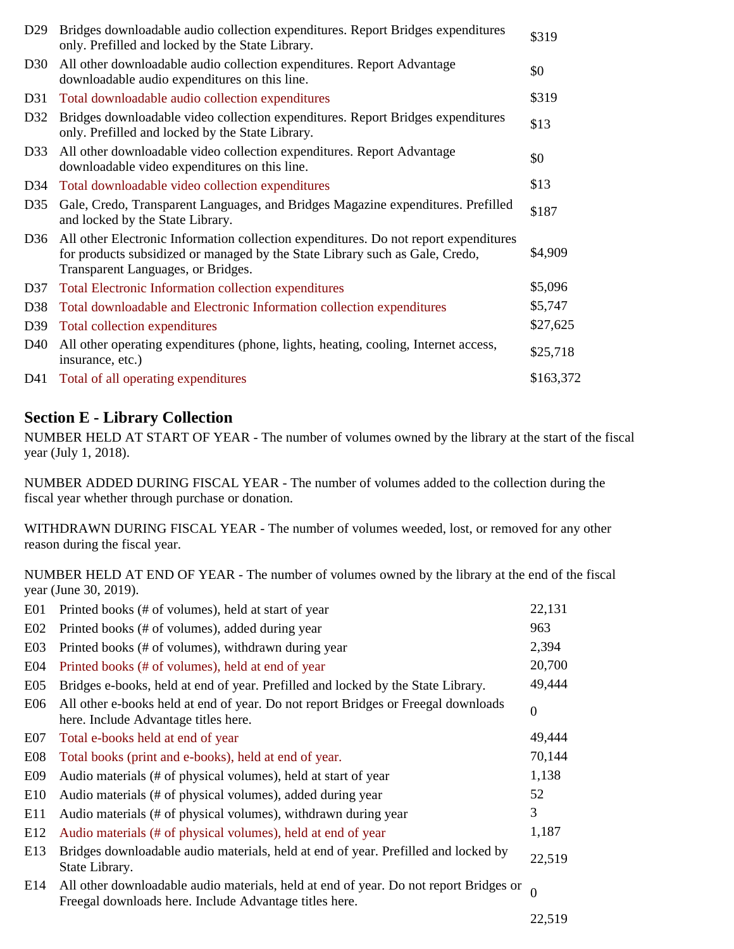| D <sub>29</sub> | Bridges downloadable audio collection expenditures. Report Bridges expenditures<br>only. Prefilled and locked by the State Library.                                                                        | \$319     |
|-----------------|------------------------------------------------------------------------------------------------------------------------------------------------------------------------------------------------------------|-----------|
| D <sub>30</sub> | All other downloadable audio collection expenditures. Report Advantage<br>downloadable audio expenditures on this line.                                                                                    | \$0       |
| D <sub>31</sub> | Total downloadable audio collection expenditures                                                                                                                                                           | \$319     |
| D32             | Bridges downloadable video collection expenditures. Report Bridges expenditures<br>only. Prefilled and locked by the State Library.                                                                        | \$13      |
| D33             | All other downloadable video collection expenditures. Report Advantage<br>downloadable video expenditures on this line.                                                                                    | \$0       |
| D34             | Total downloadable video collection expenditures                                                                                                                                                           | \$13      |
| D35             | Gale, Credo, Transparent Languages, and Bridges Magazine expenditures. Prefilled<br>and locked by the State Library.                                                                                       | \$187     |
| D <sub>36</sub> | All other Electronic Information collection expenditures. Do not report expenditures<br>for products subsidized or managed by the State Library such as Gale, Credo,<br>Transparent Languages, or Bridges. | \$4,909   |
| D <sub>37</sub> | Total Electronic Information collection expenditures                                                                                                                                                       | \$5,096   |
| D <sub>38</sub> | Total downloadable and Electronic Information collection expenditures                                                                                                                                      | \$5,747   |
| D39             | Total collection expenditures                                                                                                                                                                              | \$27,625  |
| D <sub>40</sub> | All other operating expenditures (phone, lights, heating, cooling, Internet access,<br>insurance, etc.)                                                                                                    | \$25,718  |
| D41             | Total of all operating expenditures                                                                                                                                                                        | \$163,372 |

# **Section E - Library Collection**

NUMBER HELD AT START OF YEAR - The number of volumes owned by the library at the start of the fiscal year (July 1, 2018).

NUMBER ADDED DURING FISCAL YEAR - The number of volumes added to the collection during the fiscal year whether through purchase or donation.

WITHDRAWN DURING FISCAL YEAR - The number of volumes weeded, lost, or removed for any other reason during the fiscal year.

NUMBER HELD AT END OF YEAR - The number of volumes owned by the library at the end of the fiscal year (June 30, 2019).

| E01              | Printed books (# of volumes), held at start of year                                                                                             | 22,131       |
|------------------|-------------------------------------------------------------------------------------------------------------------------------------------------|--------------|
| E02              | Printed books (# of volumes), added during year                                                                                                 | 963          |
| E <sub>0</sub> 3 | Printed books (# of volumes), withdrawn during year                                                                                             | 2,394        |
| E04              | Printed books (# of volumes), held at end of year                                                                                               | 20,700       |
| E <sub>05</sub>  | Bridges e-books, held at end of year. Prefilled and locked by the State Library.                                                                | 49,444       |
| E <sub>06</sub>  | All other e-books held at end of year. Do not report Bridges or Freegal downloads<br>here. Include Advantage titles here.                       | $\mathbf{0}$ |
| E <sub>07</sub>  | Total e-books held at end of year                                                                                                               | 49,444       |
| E <sub>08</sub>  | Total books (print and e-books), held at end of year.                                                                                           | 70,144       |
| E09              | Audio materials (# of physical volumes), held at start of year                                                                                  | 1,138        |
| E10              | Audio materials (# of physical volumes), added during year                                                                                      | 52           |
| E11              | Audio materials (# of physical volumes), withdrawn during year                                                                                  | 3            |
| E12              | Audio materials (# of physical volumes), held at end of year                                                                                    | 1,187        |
| E13              | Bridges downloadable audio materials, held at end of year. Prefilled and locked by<br>State Library.                                            | 22,519       |
| E14              | All other downloadable audio materials, held at end of year. Do not report Bridges or<br>Freegal downloads here. Include Advantage titles here. | $\Omega$     |
|                  |                                                                                                                                                 | 22,519       |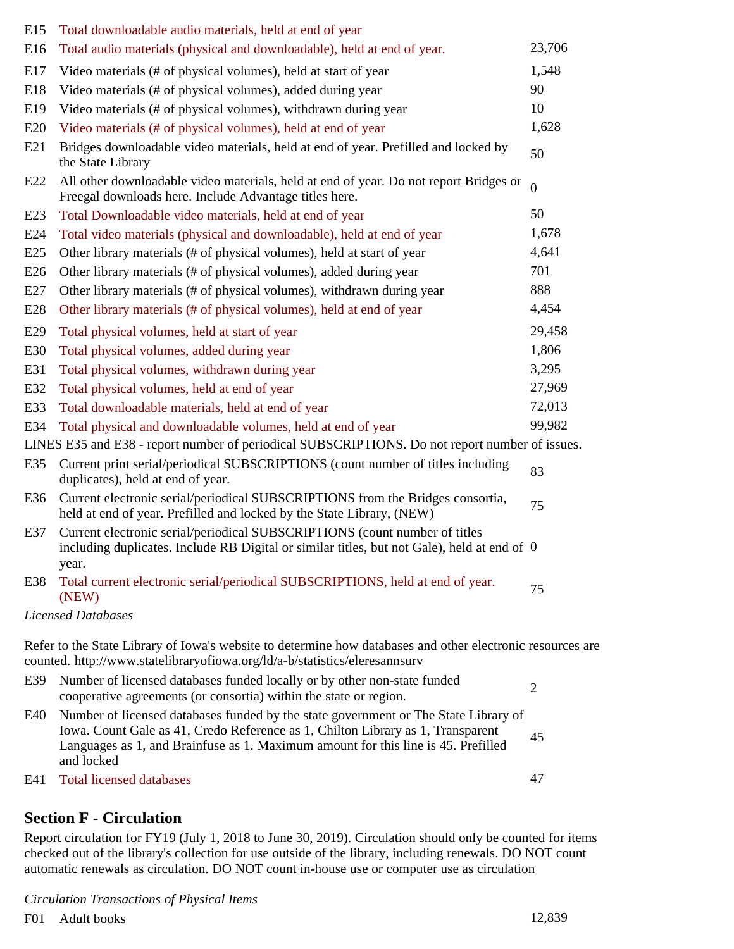| E15 | Total downloadable audio materials, held at end of year                                                                                                                                                                                                                   |                |
|-----|---------------------------------------------------------------------------------------------------------------------------------------------------------------------------------------------------------------------------------------------------------------------------|----------------|
| E16 | Total audio materials (physical and downloadable), held at end of year.                                                                                                                                                                                                   | 23,706         |
| E17 | Video materials (# of physical volumes), held at start of year                                                                                                                                                                                                            | 1,548          |
| E18 | Video materials (# of physical volumes), added during year                                                                                                                                                                                                                | 90             |
| E19 | Video materials (# of physical volumes), withdrawn during year                                                                                                                                                                                                            | 10             |
| E20 | Video materials (# of physical volumes), held at end of year                                                                                                                                                                                                              | 1,628          |
| E21 | Bridges downloadable video materials, held at end of year. Prefilled and locked by<br>the State Library                                                                                                                                                                   | 50             |
| E22 | All other downloadable video materials, held at end of year. Do not report Bridges or<br>Freegal downloads here. Include Advantage titles here.                                                                                                                           | $\theta$       |
| E23 | Total Downloadable video materials, held at end of year                                                                                                                                                                                                                   | 50             |
| E24 | Total video materials (physical and downloadable), held at end of year                                                                                                                                                                                                    | 1,678          |
| E25 | Other library materials (# of physical volumes), held at start of year                                                                                                                                                                                                    | 4,641          |
| E26 | Other library materials (# of physical volumes), added during year                                                                                                                                                                                                        | 701            |
| E27 | Other library materials (# of physical volumes), withdrawn during year                                                                                                                                                                                                    | 888            |
| E28 | Other library materials (# of physical volumes), held at end of year                                                                                                                                                                                                      | 4,454          |
| E29 | Total physical volumes, held at start of year                                                                                                                                                                                                                             | 29,458         |
| E30 | Total physical volumes, added during year                                                                                                                                                                                                                                 | 1,806          |
| E31 | Total physical volumes, withdrawn during year                                                                                                                                                                                                                             | 3,295          |
| E32 | Total physical volumes, held at end of year                                                                                                                                                                                                                               | 27,969         |
| E33 | Total downloadable materials, held at end of year                                                                                                                                                                                                                         | 72,013         |
| E34 | Total physical and downloadable volumes, held at end of year                                                                                                                                                                                                              | 99,982         |
|     | LINES E35 and E38 - report number of periodical SUBSCRIPTIONS. Do not report number of issues.                                                                                                                                                                            |                |
| E35 | Current print serial/periodical SUBSCRIPTIONS (count number of titles including<br>duplicates), held at end of year.                                                                                                                                                      | 83             |
| E36 | Current electronic serial/periodical SUBSCRIPTIONS from the Bridges consortia,<br>held at end of year. Prefilled and locked by the State Library, (NEW)                                                                                                                   | 75             |
| E37 | Current electronic serial/periodical SUBSCRIPTIONS (count number of titles<br>including duplicates. Include RB Digital or similar titles, but not Gale), held at end of $\theta$<br>year.                                                                                 |                |
| E38 | Total current electronic serial/periodical SUBSCRIPTIONS, held at end of year.<br>(NEW)                                                                                                                                                                                   | 75             |
|     | Licensed Databases                                                                                                                                                                                                                                                        |                |
|     | Refer to the State Library of Iowa's website to determine how databases and other electronic resources are<br>counted. http://www.statelibraryofiowa.org/ld/a-b/statistics/eleresannsurv                                                                                  |                |
| E39 | Number of licensed databases funded locally or by other non-state funded<br>cooperative agreements (or consortia) within the state or region.                                                                                                                             | $\overline{2}$ |
| E40 | Number of licensed databases funded by the state government or The State Library of<br>Iowa. Count Gale as 41, Credo Reference as 1, Chilton Library as 1, Transparent<br>Languages as 1, and Brainfuse as 1. Maximum amount for this line is 45. Prefilled<br>and locked | 45             |
| E41 | <b>Total licensed databases</b>                                                                                                                                                                                                                                           | 47             |

## **Section F - Circulation**

Report circulation for FY19 (July 1, 2018 to June 30, 2019). Circulation should only be counted for items checked out of the library's collection for use outside of the library, including renewals. DO NOT count automatic renewals as circulation. DO NOT count in-house use or computer use as circulation

*Circulation Transactions of Physical Items*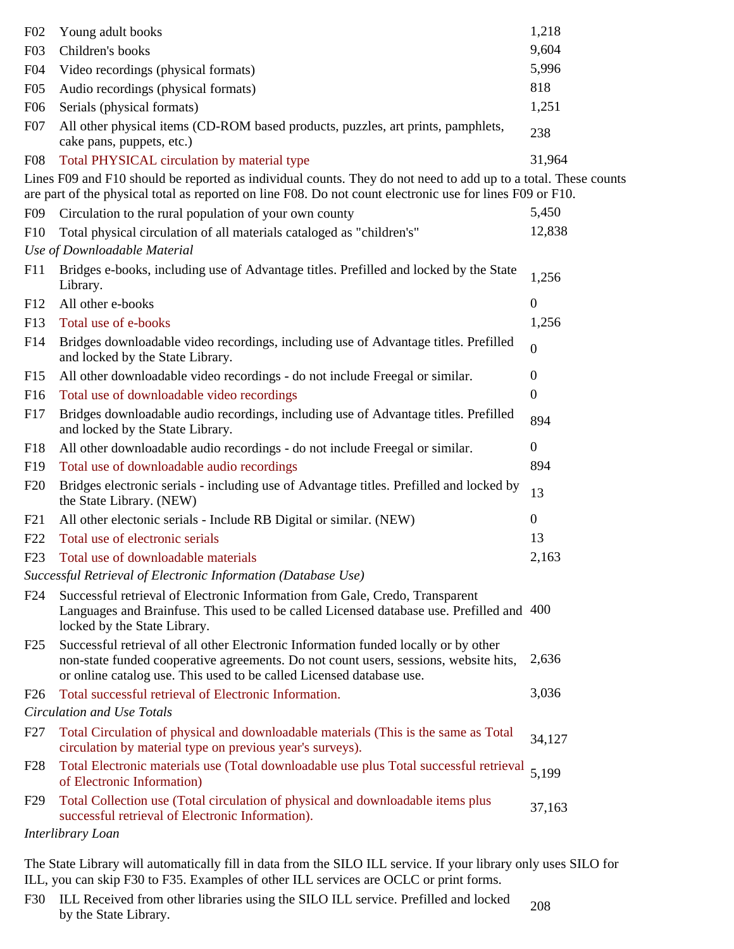| F02              | Young adult books                                                                                                                                                                                                                                   | 1,218            |
|------------------|-----------------------------------------------------------------------------------------------------------------------------------------------------------------------------------------------------------------------------------------------------|------------------|
| F03              | Children's books                                                                                                                                                                                                                                    | 9,604            |
| F04              | Video recordings (physical formats)                                                                                                                                                                                                                 | 5,996            |
| F05              | Audio recordings (physical formats)                                                                                                                                                                                                                 | 818              |
| F <sub>06</sub>  | Serials (physical formats)                                                                                                                                                                                                                          | 1,251            |
| F07              | All other physical items (CD-ROM based products, puzzles, art prints, pamphlets,<br>cake pans, puppets, etc.)                                                                                                                                       | 238              |
| F <sub>0</sub> 8 | Total PHYSICAL circulation by material type                                                                                                                                                                                                         | 31,964           |
|                  | Lines F09 and F10 should be reported as individual counts. They do not need to add up to a total. These counts<br>are part of the physical total as reported on line F08. Do not count electronic use for lines F09 or F10.                         |                  |
| F <sub>09</sub>  | Circulation to the rural population of your own county                                                                                                                                                                                              | 5,450            |
| F10              | Total physical circulation of all materials cataloged as "children's"<br>Use of Downloadable Material                                                                                                                                               | 12,838           |
| F11              | Bridges e-books, including use of Advantage titles. Prefilled and locked by the State                                                                                                                                                               |                  |
|                  | Library.                                                                                                                                                                                                                                            | 1,256            |
| F12              | All other e-books                                                                                                                                                                                                                                   | $\boldsymbol{0}$ |
| F13              | Total use of e-books                                                                                                                                                                                                                                | 1,256            |
| F14              | Bridges downloadable video recordings, including use of Advantage titles. Prefilled<br>and locked by the State Library.                                                                                                                             | $\boldsymbol{0}$ |
| F15              | All other downloadable video recordings - do not include Freegal or similar.                                                                                                                                                                        | $\boldsymbol{0}$ |
| F <sub>16</sub>  | Total use of downloadable video recordings                                                                                                                                                                                                          | $\boldsymbol{0}$ |
| F17              | Bridges downloadable audio recordings, including use of Advantage titles. Prefilled<br>and locked by the State Library.                                                                                                                             | 894              |
| F <sub>18</sub>  | All other downloadable audio recordings - do not include Freegal or similar.                                                                                                                                                                        | $\overline{0}$   |
| F <sub>19</sub>  | Total use of downloadable audio recordings                                                                                                                                                                                                          | 894              |
| F20              | Bridges electronic serials - including use of Advantage titles. Prefilled and locked by<br>the State Library. (NEW)                                                                                                                                 | 13               |
| F21              | All other electonic serials - Include RB Digital or similar. (NEW)                                                                                                                                                                                  | $\boldsymbol{0}$ |
| F22              | Total use of electronic serials                                                                                                                                                                                                                     | 13               |
| F <sub>23</sub>  | Total use of downloadable materials                                                                                                                                                                                                                 | 2,163            |
|                  | Successful Retrieval of Electronic Information (Database Use)                                                                                                                                                                                       |                  |
| F24              | Successful retrieval of Electronic Information from Gale, Credo, Transparent<br>Languages and Brainfuse. This used to be called Licensed database use. Prefilled and 400<br>locked by the State Library.                                            |                  |
| F25              | Successful retrieval of all other Electronic Information funded locally or by other<br>non-state funded cooperative agreements. Do not count users, sessions, website hits,<br>or online catalog use. This used to be called Licensed database use. | 2,636            |
| F26              | Total successful retrieval of Electronic Information.                                                                                                                                                                                               | 3,036            |
|                  | Circulation and Use Totals                                                                                                                                                                                                                          |                  |
| F27              | Total Circulation of physical and downloadable materials (This is the same as Total<br>circulation by material type on previous year's surveys).                                                                                                    | 34,127           |
| F28              | Total Electronic materials use (Total downloadable use plus Total successful retrieval<br>of Electronic Information)                                                                                                                                | 5,199            |
| F29              | Total Collection use (Total circulation of physical and downloadable items plus<br>successful retrieval of Electronic Information).                                                                                                                 | 37,163           |
|                  | Interlibrary Loan                                                                                                                                                                                                                                   |                  |

The State Library will automatically fill in data from the SILO ILL service. If your library only uses SILO for ILL, you can skip F30 to F35. Examples of other ILL services are OCLC or print forms.

F30 ILL Received from other libraries using the SILO ILL service. Prefilled and locked 208 by the State Library.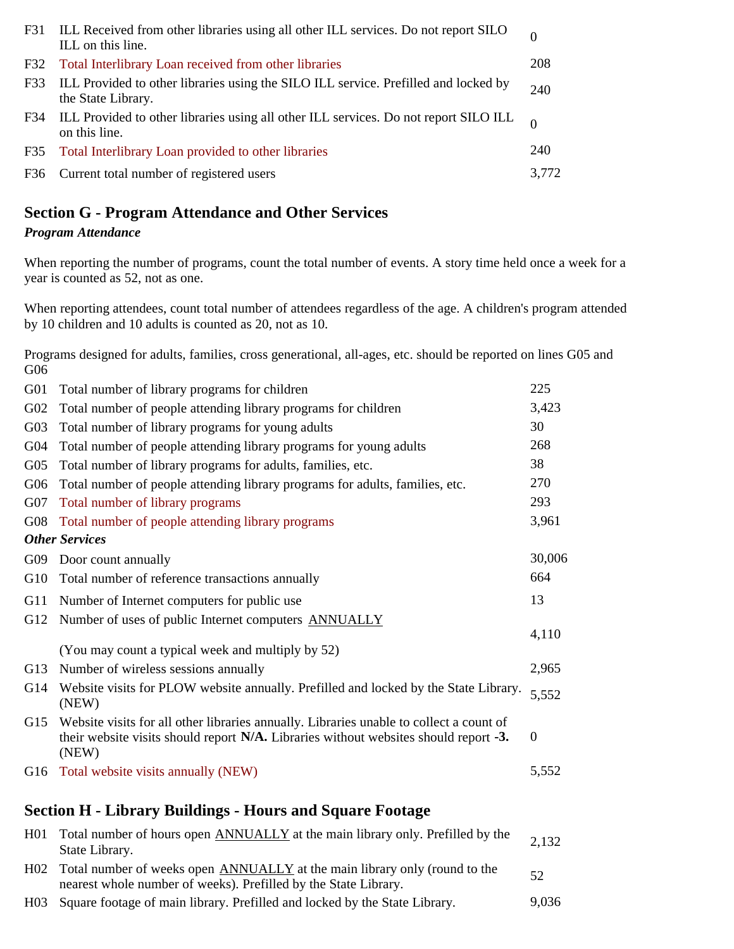|     | F31 ILL Received from other libraries using all other ILL services. Do not report SILO<br>ILL on this line. |       |
|-----|-------------------------------------------------------------------------------------------------------------|-------|
| F32 | Total Interlibrary Loan received from other libraries                                                       | 208   |
| F33 | ILL Provided to other libraries using the SILO ILL service. Prefilled and locked by<br>the State Library.   | 240   |
|     | F34 ILL Provided to other libraries using all other ILL services. Do not report SILO ILL<br>on this line.   |       |
| F35 | Total Interlibrary Loan provided to other libraries                                                         | 240   |
| F36 | Current total number of registered users                                                                    | 3,772 |

# **Section G - Program Attendance and Other Services**

#### *Program Attendance*

When reporting the number of programs, count the total number of events. A story time held once a week for a year is counted as 52, not as one.

When reporting attendees, count total number of attendees regardless of the age. A children's program attended by 10 children and 10 adults is counted as 20, not as 10.

Programs designed for adults, families, cross generational, all-ages, etc. should be reported on lines G05 and G06

| G01 | Total number of library programs for children                                                                                                                                            | 225          |
|-----|------------------------------------------------------------------------------------------------------------------------------------------------------------------------------------------|--------------|
| G02 | Total number of people attending library programs for children                                                                                                                           | 3,423        |
| G03 | Total number of library programs for young adults                                                                                                                                        | 30           |
| G04 | Total number of people attending library programs for young adults                                                                                                                       | 268          |
| G05 | Total number of library programs for adults, families, etc.                                                                                                                              | 38           |
| G06 | Total number of people attending library programs for adults, families, etc.                                                                                                             | 270          |
| G07 | Total number of library programs                                                                                                                                                         | 293          |
| G08 | Total number of people attending library programs                                                                                                                                        | 3,961        |
|     | <b>Other Services</b>                                                                                                                                                                    |              |
| G09 | Door count annually                                                                                                                                                                      | 30,006       |
| G10 | Total number of reference transactions annually                                                                                                                                          | 664          |
| G11 | Number of Internet computers for public use                                                                                                                                              | 13           |
| G12 | Number of uses of public Internet computers <b>ANNUALLY</b>                                                                                                                              |              |
|     | (You may count a typical week and multiply by 52)                                                                                                                                        | 4,110        |
| G13 | Number of wireless sessions annually                                                                                                                                                     | 2,965        |
| G14 | Website visits for PLOW website annually. Prefilled and locked by the State Library.<br>(NEW)                                                                                            | 5,552        |
| G15 | Website visits for all other libraries annually. Libraries unable to collect a count of<br>their website visits should report N/A. Libraries without websites should report -3.<br>(NEW) | $\mathbf{0}$ |
|     | G16 Total website visits annually (NEW)                                                                                                                                                  | 5,552        |
|     |                                                                                                                                                                                          |              |

### **Section H - Library Buildings - Hours and Square Footage**

| H01 Total number of hours open ANNUALLY at the main library only. Prefilled by the<br>State Library.                                              | 2,132 |
|---------------------------------------------------------------------------------------------------------------------------------------------------|-------|
| H02 Total number of weeks open ANNUALLY at the main library only (round to the<br>nearest whole number of weeks). Prefilled by the State Library. | 52    |
| H03 Square footage of main library. Prefilled and locked by the State Library.                                                                    | 9,036 |